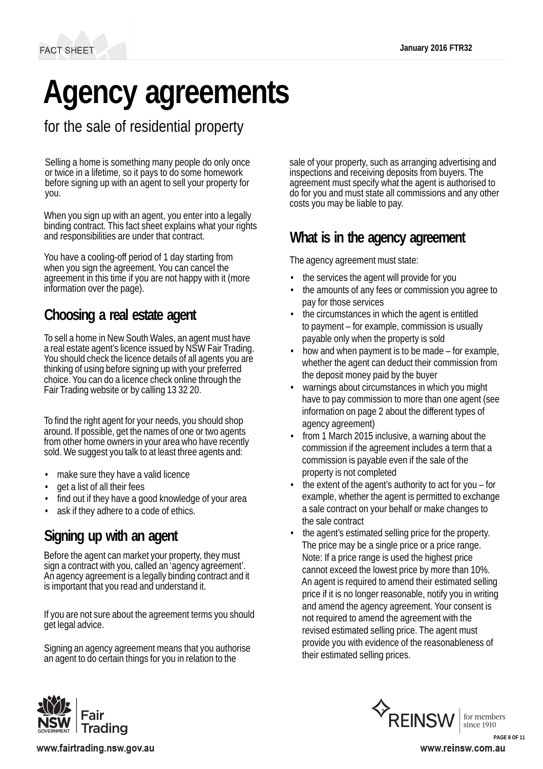# **Agency agreements**

for the sale of residential property

Selling a home is something many people do only once or twice in a lifetime, so it pays to do some homework before signing up with an agent to sell your property for you.

When you sign up with an agent, you enter into a legally binding contract. This fact sheet explains what your rights and responsibilities are under that contract.

You have a cooling-off period of 1 day starting from when you sign the agreement. You can cancel the agreement in this time if you are not happy with it (more information over the page).

# **Choosing a real estate agent**

To sell a home in New South Wales, an agent must have <sup>a</sup> real estate agent's licence issued by NSW Fair Trading. You should check the licence details of all agents you are thinking of using before signing up with your preferred choice. You can do a licence check online through the Fair Trading website or by calling 13 32 20.

To find the right agent for your needs, you should shop around. If possible, get the names of one or two agents from other home owners in your area who have recently sold. We suggest you talk to at least three agents and:

- make sure they have a valid licence
- get a list of all their fees
- find out if they have a good knowledge of your area
- ask if they adhere to a code of ethics.

# **Signing up with an agent**

Before the agent can market your property, they must sign a contract with you, called an 'agency agreement'. An agency agreement is a legally binding contract and it is important that you read and understand it.

If you are not sure about the agreement terms you should get legal advice.

Signing an agency agreement means that you authorise an agent to do certain things for you in relation to the

sale of your property, such as arranging advertising and inspections and receiving deposits from buyers. The agreement must specify what the agent is authorised to do for you and must state all commissions and any other costs you may be liable to pay.

# **What is in the agency agreement**

The agency agreement must state:

- the services the agent will provide for you
- the amounts of any fees or commission you agree to pay for those services
- the circumstances in which the agent is entitled to payment – for example, commission is usually payable only when the property is sold
- how and when payment is to be made for example, whether the agent can deduct their commission from the deposit money paid by the buyer
- warnings about circumstances in which you might have to pay commission to more than one agent (see information on page 2 about the different types of agency agreement)
- from 1 March 2015 inclusive, a warning about the commission if the agreement includes a term that a commission is payable even if the sale of the property is not completed
- the extent of the agent's authority to act for you for example, whether the agent is permitted to exchange a sale contract on your behalf or make changes to the sale contract
- the agent's estimated selling price for the property. The price may be a single price or a price range. Note: If a price range is used the highest price cannot exceed the lowest price by more than 10%. An agent is required to amend their estimated selling price if it is no longer reasonable, notify you in writing and amend the agency agreement. Your consent is not required to amend the agreement with the revised estimated selling price. The agent must provide you with evidence of the reasonableness of their estimated selling prices.





www.fairtrading.nsw.gov.au

www.reinsw.com.au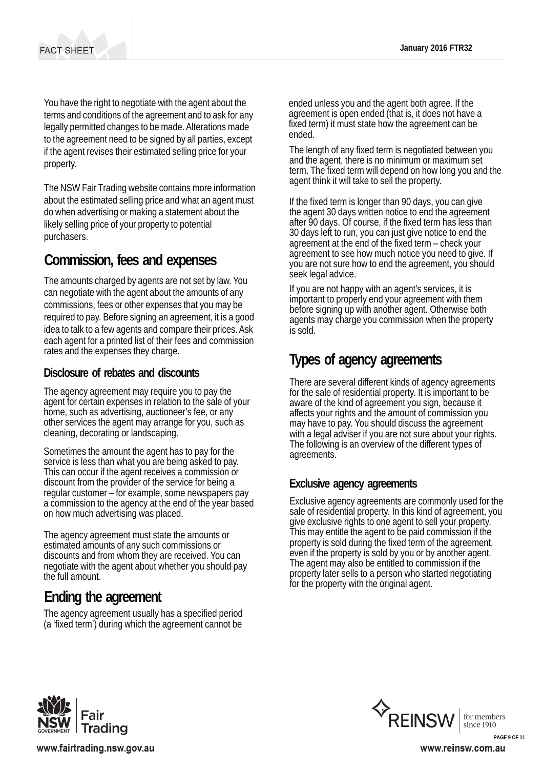You have the right to negotiate with the agent about the terms and conditions of the agreement and to ask for any legally permitted changes to be made.Alterations made to the agreement need to be signed by all parties, except if the agent revises their estimated selling price for your property.

The NSW Fair Trading website contains more information about the estimated selling price and what an agent must do when advertising or making a statement about the likely selling price of your property to potential purchasers.

### **Commission, fees and expenses**

The amounts charged by agents are not set by law. You can negotiate with the agent about the amounts of any commissions, fees or other expenses that you may be required to pay. Before signing an agreement, it is a good idea to talk to a few agents and compare their prices.Ask each agent for a printed list of their fees and commission rates and the expenses they charge.

#### **Disclosure of rebates and discounts**

The agency agreement may require you to pay the agent for certain expenses in relation to the sale of your home, such as advertising, auctioneer's fee, or any other services the agent may arrange for you, such as cleaning, decorating or landscaping.

Sometimes the amount the agent has to pay for the service is less than what you are being asked to pay. This can occur if the agent receives <sup>a</sup> commission or discount from the provider of the service for being a regular customer – for example, some newspapers pay a commission to the agency at the end of the year based on how much advertising was placed.

The agency agreement must state the amounts or estimated amounts of any such commissions or discounts and from whom they are received. You can negotiate with the agent about whether you should pay the full amount.

## **Ending the agreement**

The agency agreement usually has a specified period (a 'fixed term') during which the agreement cannot be ended unless you and the agent both agree. If the agreement is open ended (that is, it does not have a fixed term) it must state how the agreement can be ended.

The length of any fixed term is negotiated between you and the agent, there is no minimum or maximum set term. The fixed term will depend on how long you and the agent think it will take to sell the property.

If the fixed term is longer than 90 days, you can give the agent 30 days written notice to end the agreement after 90 days. Of course, if the fixed term has less than 30 days left to run, you can just give notice to end the agreement at the end of the fixed term – check your agreement to see how much notice you need to give. If you are not sure how to end the agreement, you should seek legal advice.

If you are not happy with an agent's services, it is important to properly end your agreement with them before signing up with another agent. Otherwise both agents may charge you commission when the property is sold.

# **Types of agency agreements**

There are several different kinds of agency agreements for the sale of residential property. It is important to be aware of the kind of agreement you sign, because it affects your rights and the amount of commission you may have to pay. You should discuss the agreement with a legal adviser if you are not sure about your rights.<br>The following is an overview of the different types of agreements.

#### **Exclusive agency agreements**

Exclusive agency agreements are commonly used for the sale of residential property. In this kind of agreement, you give exclusive rights to one agent to sell your property. This may entitle the agent to be paid commission if the property is sold during the fixed term of the agreement, even if the property is sold by you or by another agent. The agent may also be entitled to commission if the property later sells to a person who started negotiating for the property with the original agent.







www.reinsw.com.au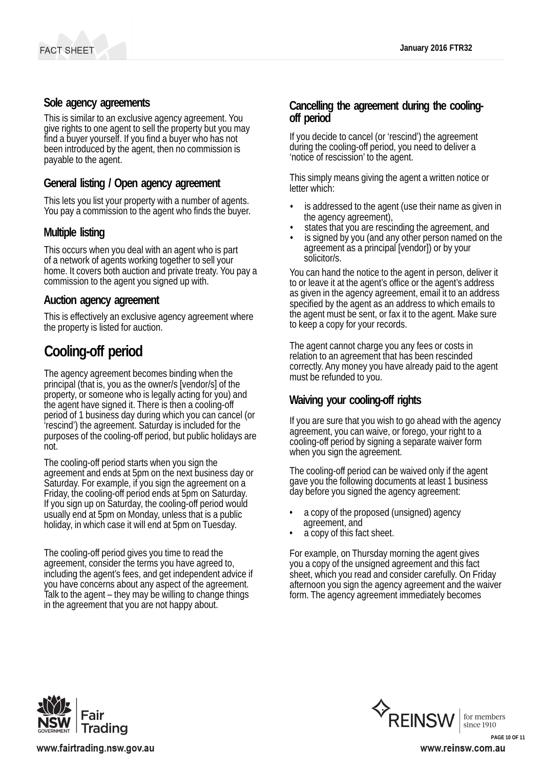#### **Sole agency agreements**

This is similar to an exclusive agency agreement. You give rights to one agent to sell the property but you may find a buyer yourself. If you find a buyer who has not been introduced by the agent, then no commission is payable to the agent.

#### **General listing / Open agency agreement**

This lets you list your property with a number of agents. You pay a commission to the agent who finds the buyer.

#### **Multiple listing**

This occurs when you deal with an agent who is part of a network of agents working together to sell your home. It covers both auction and private treaty. You pay a commission to the agent you signed up with.

#### **Auction agency agreement**

This is effectively an exclusive agency agreement where the property is listed for auction.

# **Cooling-off period**

The agency agreement becomes binding when the principal (that is, you as the owner/s [vendor/s] of the property, or someone who is legally acting for you) and the agent have signed it. There is then a cooling-off period of 1 business day during which you can cancel (or 'rescind') the agreement. Saturday is included for the purposes of the cooling-off period, but public holidays are not.

The cooling-off period starts when you sign the agreement and ends at 5pm on the next business day or Saturday. For example, if you sign the agreement on a Friday, the cooling-off period ends at 5pm on Saturday. If you sign up on Saturday, the cooling-off period would usually end at 5pm on Monday, unless that is a public holiday, in which case it will end at 5pm on Tuesday.

The cooling-off period gives you time to read the agreement, consider the terms you have agreed to, including the agent's fees, and get independent advice if you have concerns about any aspect of the agreement. Talk to the agent – they may be willing to change things in the agreement that you are not happy about.

# **Cancelling the agreement during the cooling- off period**

If you decide to cancel (or 'rescind') the agreement during the cooling-off period, you need to deliver a 'notice of rescission' to the agent.

This simply means giving the agent a written notice or letter which:

- is addressed to the agent (use their name as given in the agency agreement),
- states that you are rescinding the agreement, and
- is signed by you (and any other person named on the agreement as a principal [vendor]) or by your solicitor/s.

You can hand the notice to the agent in person, deliver it to or leave it at the agent's office or the agent's address as given in the agency agreement, email it to an address specified by the agent as an address to which emails to the agent must be sent, or fax it to the agent. Make sure to keep a copy for your records.

The agent cannot charge you any fees or costs in relation to an agreement that has been rescinded correctly. Any money you have already paid to the agent must be refunded to you.

#### **Waiving your cooling-off rights**

If you are sure that you wish to go ahead with the agency agreement, you can waive, or forego, your right to a cooling-off period by signing a separate waiver form when you sign the agreement.

The cooling-off period can be waived only if the agent gave you the following documents at least 1 business day before you signed the agency agreement:

- a copy of the proposed (unsigned) agency agreement, and
- a copy of this fact sheet.

For example, on Thursday morning the agent gives you a copy of the unsigned agreement and this fact sheet, which you read and consider carefully. On Friday afternoon you sign the agency agreement and the waiver form. The agency agreement immediately becomes







**PAGE 10 OF 11**www.reinsw.com.au